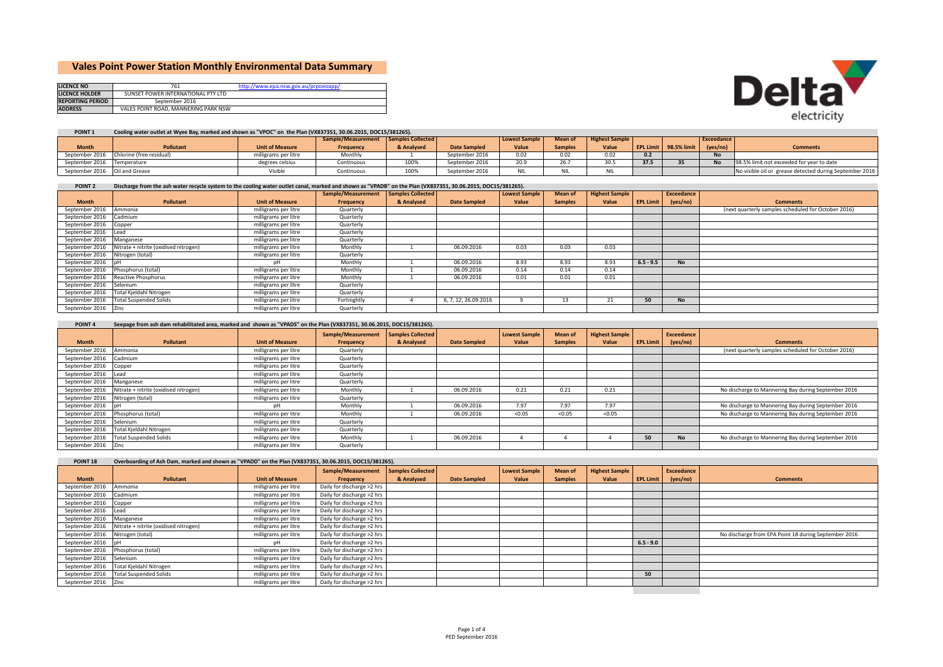## **Vales Point Power Station Monthly Environmental Data Summary**

| <b>LICENCE NO</b>       | 761                                  | http://www.epa.nsw.gov.au/prpoeoapp/ |
|-------------------------|--------------------------------------|--------------------------------------|
| <b>LICENCE HOLDER</b>   | SUNSET POWER INTERNATIONAL PTY LTD   |                                      |
| <b>REPORTING PERIOD</b> | September 2016                       |                                      |
| <b>ADDRESS</b>          | VALES POINT ROAD, MANNERING PARK NSW |                                      |



## POINT 1 Cooling water outlet at Wyee Bay, marked and shown as "VPOC" on the Plan (VX837351, 30.06.2015, DOC15/381265).

|                               |                                         |                        | Sample/Measurement Samples Collected |            |                     | <b>Lowest Sample</b> | <b>Mean of</b> | <b>Highest Sample</b> |      |                       | Exceedance |                                                         |
|-------------------------------|-----------------------------------------|------------------------|--------------------------------------|------------|---------------------|----------------------|----------------|-----------------------|------|-----------------------|------------|---------------------------------------------------------|
| <b>Month</b>                  | <b>Pollutant</b>                        | <b>Unit of Measure</b> | Frequency                            | & Analysed | <b>Date Sampled</b> | Value                | <b>Samples</b> | Value                 |      | EPL Limit 98.5% limit | (yes/no)   | <b>Comments</b>                                         |
|                               | September 2016 Chlorine (free residual) | milligrams per litre   | Monthly                              |            | September 2016      | 0.02                 | 0.02           | 0.02                  |      |                       | <b>No</b>  |                                                         |
| September 2016 Temperature    |                                         | degrees celsius        | Continuous                           | 100%       | September 2016      | 20.9                 | 207<br>Zb.,    | $\sim$ $\sim$<br>…∪د  | 37.5 |                       | <b>No</b>  | 98.5% limit not exceeded for year to date               |
| September 2016 Oil and Grease |                                         |                        | Continuous                           | 100%       | September 2016      | ٦IL                  |                |                       |      |                       |            | No visible oil or grease detected during September 2016 |

## POINT 2 Discharge from the ash water recycle system to the cooling water outlet canal, marked and shown as "VPADB" on the Plan (VX837351, 30.06.2015, DOC15/381265).

|                        |                                       |                        | Sample/Measurement | Samples Collected |                      | <b>Lowest Sample</b> | Mean of        | <b>Highest Sample</b> |                  | Exceedance |                                                     |
|------------------------|---------------------------------------|------------------------|--------------------|-------------------|----------------------|----------------------|----------------|-----------------------|------------------|------------|-----------------------------------------------------|
| <b>Month</b>           | Pollutant                             | <b>Unit of Measure</b> | Frequency          | & Analysed        | <b>Date Sampled</b>  | Value                | <b>Samples</b> | Value                 | <b>EPL Limit</b> | (yes/no)   | <b>Comments</b>                                     |
| September 2016         | Ammonia                               | milligrams per litre   | Quarterly          |                   |                      |                      |                |                       |                  |            | (next quarterly samples scheduled for October 2016) |
| September 2016 Cadmium |                                       | milligrams per litre   | Quarterly          |                   |                      |                      |                |                       |                  |            |                                                     |
| September 2016 Copper  |                                       | milligrams per litre   | Quarterly          |                   |                      |                      |                |                       |                  |            |                                                     |
| September 2016 Lead    |                                       | milligrams per litre   | Quarterly          |                   |                      |                      |                |                       |                  |            |                                                     |
| September 2016         | Manganese                             | milligrams per litre   | Quarterly          |                   |                      |                      |                |                       |                  |            |                                                     |
| September 2016         | Nitrate + nitrite (oxidised nitrogen) | milligrams per litre   | Monthly            |                   | 06.09.2016           | 0.03                 | 0.03           | 0.03                  |                  |            |                                                     |
| September 2016         | Nitrogen (total)                      | milligrams per litre   | Quarterly          |                   |                      |                      |                |                       |                  |            |                                                     |
| September 2016 pH      |                                       | nН                     | Monthly            |                   | 06.09.2016           | 8.93                 | 8.93           | 8.93                  | $6.5 - 9.5$      | <b>No</b>  |                                                     |
| September 2016         | Phosphorus (total)                    | milligrams per litre   | Monthly            |                   | 06.09.2016           | 0.14                 | 0.14           | 0.14                  |                  |            |                                                     |
| September 2016         | Reactive Phosphorus                   | milligrams per litre   | Monthly            |                   | 06.09.2016           | 0.01                 | 0.01           | 0.01                  |                  |            |                                                     |
| September 2016         | Selenium                              | milligrams per litre   | Quarterly          |                   |                      |                      |                |                       |                  |            |                                                     |
| September 2016         | Total Kjeldahl Nitrogen               | milligrams per litre   | Quarterly          |                   |                      |                      |                |                       |                  |            |                                                     |
|                        | September 2016 Total Suspended Solids | milligrams per litre   | Fortnightly        |                   | 6, 7, 12, 26.09.2016 |                      | 13             | 21                    | 50               | <b>No</b>  |                                                     |
| September 2016 Zinc    |                                       | milligrams per litre   | Quarterly          |                   |                      |                      |                |                       |                  |            |                                                     |

## POINT 4 Seepage from ash dam rehabilitated area, marked and shown as "VPADS" on the Plan (VX837351, 30.06.2015, DOC15/381265).

|                       |                                       |                        | Sample/Measurement | amples Collected |                     | <b>Lowest Sample</b> | <b>Mean of</b> | <b>Highest Sample</b> |    | Exceedance         |                                                     |
|-----------------------|---------------------------------------|------------------------|--------------------|------------------|---------------------|----------------------|----------------|-----------------------|----|--------------------|-----------------------------------------------------|
| <b>Month</b>          | Pollutant                             | <b>Unit of Measure</b> | Frequency          | & Analysed       | <b>Date Sampled</b> | Value                | <b>Samples</b> | Value                 |    | EPL Limit (yes/no) | <b>Comments</b>                                     |
| September 2016        | Ammonia                               | milligrams per litre   | Quarterly          |                  |                     |                      |                |                       |    |                    | (next quarterly samples scheduled for October 2016) |
| September 2016        | Cadmium                               | milligrams per litre   | Quarterly          |                  |                     |                      |                |                       |    |                    |                                                     |
| September 2016 Copper |                                       | milligrams per litre   | Quarterly          |                  |                     |                      |                |                       |    |                    |                                                     |
| September 2016 Lead   |                                       | milligrams per litre   | Quarterly          |                  |                     |                      |                |                       |    |                    |                                                     |
| September 2016        | Manganese                             | milligrams per litre   | Quarterly          |                  |                     |                      |                |                       |    |                    |                                                     |
| September 2016        | Nitrate + nitrite (oxidised nitrogen) | milligrams per litre   | Monthly            |                  | 06.09.2016          | 0.21                 | 0.21           | 0.21                  |    |                    | No discharge to Mannering Bay during September 2016 |
| September 2016        | Nitrogen (total)                      | milligrams per litre   | Quarterly          |                  |                     |                      |                |                       |    |                    |                                                     |
| September 2016 pH     |                                       | nН                     | Monthly            |                  | 06.09.2016          | 7.97                 | 7.97           | 7.97                  |    |                    | No discharge to Mannering Bay during September 2016 |
| September 2016        | Phosphorus (total)                    | milligrams per litre   | Monthly            |                  | 06.09.2016          | < 0.05               | < 0.05         | < 0.05                |    |                    | No discharge to Mannering Bay during September 2016 |
| September 2016        | Selenium                              | milligrams per litre   | Quarterly          |                  |                     |                      |                |                       |    |                    |                                                     |
| September 2016        | Total Kjeldahl Nitrogen               | milligrams per litre   | Quarterly          |                  |                     |                      |                |                       |    |                    |                                                     |
|                       | September 2016 Total Suspended Solids | milligrams per litre   | Monthly            |                  | 06.09.2016          |                      |                |                       | 50 | <b>No</b>          | No discharge to Mannering Bay during September 2016 |
| September 2016 Zinc   |                                       | milligrams per litre   | Quarterly          |                  |                     |                      |                |                       |    |                    |                                                     |

| POINT <sub>18</sub>      | Overboarding of Ash Dam, marked and shown as "VPADD" on the Plan (VX837351, 30.06.2015, DOC15/381265). |                        |                            |                          |                     |                      |                |                       |                  |            |                                                      |
|--------------------------|--------------------------------------------------------------------------------------------------------|------------------------|----------------------------|--------------------------|---------------------|----------------------|----------------|-----------------------|------------------|------------|------------------------------------------------------|
|                          |                                                                                                        |                        | Sample/Measurement         | <b>Samples Collected</b> |                     | <b>Lowest Sample</b> | <b>Mean of</b> | <b>Highest Sample</b> |                  | Exceedance |                                                      |
| <b>Month</b>             | <b>Pollutant</b>                                                                                       | <b>Unit of Measure</b> | Frequency                  | & Analysed               | <b>Date Sampled</b> | Value                | <b>Samples</b> | Value                 | <b>EPL Limit</b> | (yes/no)   | <b>Comments</b>                                      |
| September 2016           | Ammonia                                                                                                | milligrams per litre   | Daily for discharge >2 hrs |                          |                     |                      |                |                       |                  |            |                                                      |
| September 2016           | Cadmium                                                                                                | milligrams per litre   | Daily for discharge >2 hrs |                          |                     |                      |                |                       |                  |            |                                                      |
| September 2016 Copper    |                                                                                                        | milligrams per litre   | Daily for discharge >2 hrs |                          |                     |                      |                |                       |                  |            |                                                      |
| September 2016 Lead      |                                                                                                        | milligrams per litre   | Daily for discharge >2 hrs |                          |                     |                      |                |                       |                  |            |                                                      |
| September 2016 Manganese |                                                                                                        | milligrams per litre   | Daily for discharge >2 hrs |                          |                     |                      |                |                       |                  |            |                                                      |
| September 2016           | Nitrate + nitrite (oxidised nitrogen)                                                                  | milligrams per litre   | Daily for discharge >2 hrs |                          |                     |                      |                |                       |                  |            |                                                      |
| September 2016           | Nitrogen (total)                                                                                       | milligrams per litre   | Daily for discharge >2 hrs |                          |                     |                      |                |                       |                  |            | No discharge from EPA Point 18 during September 2016 |
| September 2016 pH        |                                                                                                        | nН                     | Daily for discharge >2 hrs |                          |                     |                      |                |                       | $6.5 - 9.0$      |            |                                                      |
| September 2016           | Phosphorus (total)                                                                                     | milligrams per litre   | Daily for discharge >2 hrs |                          |                     |                      |                |                       |                  |            |                                                      |
| September 2016           | Selenium                                                                                               | milligrams per litre   | Daily for discharge >2 hrs |                          |                     |                      |                |                       |                  |            |                                                      |
| September 2016           | Total Kieldahl Nitrogen                                                                                | milligrams per litre   | Daily for discharge >2 hrs |                          |                     |                      |                |                       |                  |            |                                                      |
|                          | September 2016 Total Suspended Solids                                                                  | milligrams per litre   | Daily for discharge >2 hrs |                          |                     |                      |                |                       | 50               |            |                                                      |
| September 2016 Zinc      |                                                                                                        | milligrams per litre   | Daily for discharge >2 hrs |                          |                     |                      |                |                       |                  |            |                                                      |
|                          |                                                                                                        |                        |                            |                          |                     |                      |                |                       |                  |            |                                                      |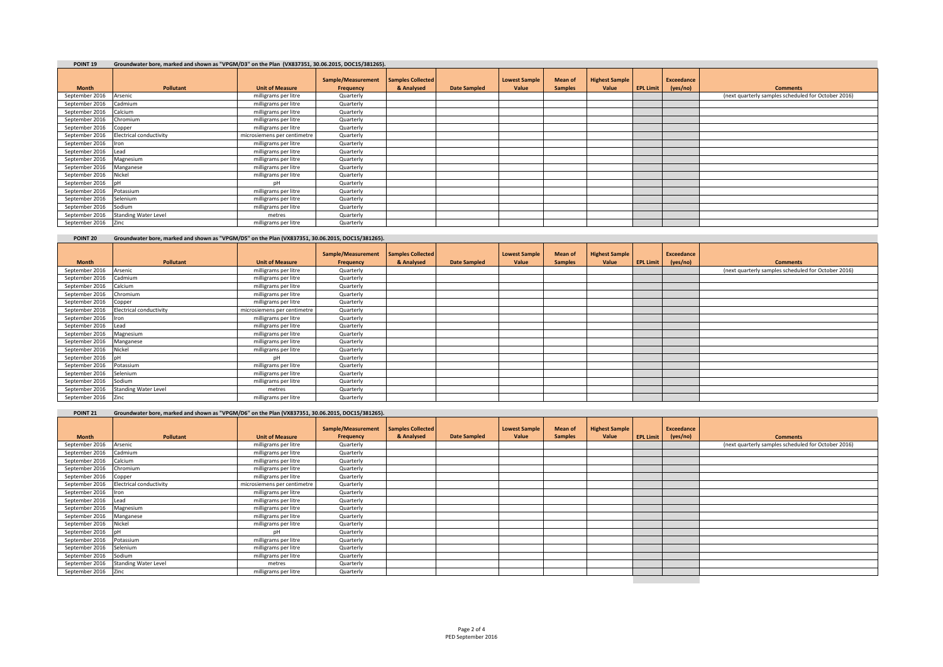| POINT <sub>19</sub> | Groundwater bore, marked and shown as "VPGM/D3" on the Plan (VX837351, 30.06.2015, DOC15/381265). |
|---------------------|---------------------------------------------------------------------------------------------------|

| .                     | alonganization and manufacture and along the confess on the light (sydney as a selected a correlation and |                             |                                 |                                 |                     |                               |                                  |                                |                  |                        |                                                     |
|-----------------------|-----------------------------------------------------------------------------------------------------------|-----------------------------|---------------------------------|---------------------------------|---------------------|-------------------------------|----------------------------------|--------------------------------|------------------|------------------------|-----------------------------------------------------|
| <b>Month</b>          | <b>Pollutant</b>                                                                                          | <b>Unit of Measure</b>      | Sample/Measurement<br>Frequency | Samples Collected<br>& Analysed | <b>Date Sampled</b> | <b>Lowest Sample</b><br>Value | <b>Mean of</b><br><b>Samples</b> | <b>Highest Sample</b><br>Value | <b>EPL Limit</b> | Exceedance<br>(yes/no) | <b>Comments</b>                                     |
| September 2016        | Arsenic                                                                                                   | milligrams per litre        | Quarterly                       |                                 |                     |                               |                                  |                                |                  |                        | (next quarterly samples scheduled for October 2016) |
| September 2016        | Cadmium                                                                                                   | milligrams per litre        | Quarterly                       |                                 |                     |                               |                                  |                                |                  |                        |                                                     |
| September 2016        | Calcium                                                                                                   | milligrams per litre        | Quarterly                       |                                 |                     |                               |                                  |                                |                  |                        |                                                     |
| September 2016        | Chromium                                                                                                  | milligrams per litre        | Quarterly                       |                                 |                     |                               |                                  |                                |                  |                        |                                                     |
| September 2016        | Copper                                                                                                    | milligrams per litre        | Quarterly                       |                                 |                     |                               |                                  |                                |                  |                        |                                                     |
| September 2016        | <b>Electrical conductivity</b>                                                                            | microsiemens per centimetre | Quarterly                       |                                 |                     |                               |                                  |                                |                  |                        |                                                     |
| September 2016 Iron   |                                                                                                           | milligrams per litre        | Quarterly                       |                                 |                     |                               |                                  |                                |                  |                        |                                                     |
| September 2016 Lead   |                                                                                                           | milligrams per litre        | Quarterly                       |                                 |                     |                               |                                  |                                |                  |                        |                                                     |
| September 2016        | Magnesium                                                                                                 | milligrams per litre        | Quarterly                       |                                 |                     |                               |                                  |                                |                  |                        |                                                     |
| September 2016        | Manganese                                                                                                 | milligrams per litre        | Quarterly                       |                                 |                     |                               |                                  |                                |                  |                        |                                                     |
| September 2016 Nickel |                                                                                                           | milligrams per litre        | Quarterly                       |                                 |                     |                               |                                  |                                |                  |                        |                                                     |
| September 2016 pH     |                                                                                                           | DH                          | Quarterly                       |                                 |                     |                               |                                  |                                |                  |                        |                                                     |
| September 2016        | Potassium                                                                                                 | milligrams per litre        | Quarterly                       |                                 |                     |                               |                                  |                                |                  |                        |                                                     |
| September 2016        | Selenium                                                                                                  | milligrams per litre        | Quarterly                       |                                 |                     |                               |                                  |                                |                  |                        |                                                     |
| September 2016        | Sodium                                                                                                    | milligrams per litre        | Quarterly                       |                                 |                     |                               |                                  |                                |                  |                        |                                                     |
| September 2016        | <b>Standing Water Level</b>                                                                               | metres                      | Quarterly                       |                                 |                     |                               |                                  |                                |                  |                        |                                                     |
| September 2016 Zinc   |                                                                                                           | milligrams per litre        | Quarterly                       |                                 |                     |                               |                                  |                                |                  |                        |                                                     |

| POINT <sub>20</sub>   | Groundwater bore, marked and shown as "VPGM/D5" on the Plan (VX837351, 30.06.2015, DOC15/381265). |                             |                                 |                                        |                     |                               |                           |                                |                  |                               |                                                     |
|-----------------------|---------------------------------------------------------------------------------------------------|-----------------------------|---------------------------------|----------------------------------------|---------------------|-------------------------------|---------------------------|--------------------------------|------------------|-------------------------------|-----------------------------------------------------|
| <b>Month</b>          | <b>Pollutant</b>                                                                                  | <b>Unit of Measure</b>      | Sample/Measurement<br>Frequency | <b>Samples Collected</b><br>& Analysed | <b>Date Sampled</b> | <b>Lowest Sample</b><br>Value | Mean of<br><b>Samples</b> | <b>Highest Sample</b><br>Value | <b>EPL Limit</b> | <b>Exceedance</b><br>(yes/no) | <b>Comments</b>                                     |
| September 2016        | Arsenic                                                                                           | milligrams per litre        | Quarterly                       |                                        |                     |                               |                           |                                |                  |                               | (next quarterly samples scheduled for October 2016) |
| September 2016        | Cadmium                                                                                           | milligrams per litre        | Quarterly                       |                                        |                     |                               |                           |                                |                  |                               |                                                     |
| September 2016        | Calcium                                                                                           | milligrams per litre        | Quarterly                       |                                        |                     |                               |                           |                                |                  |                               |                                                     |
| September 2016        | Chromium                                                                                          | milligrams per litre        | Quarterly                       |                                        |                     |                               |                           |                                |                  |                               |                                                     |
| September 2016 Copper |                                                                                                   | milligrams per litre        | Quarterly                       |                                        |                     |                               |                           |                                |                  |                               |                                                     |
| September 2016        | <b>Electrical conductivity</b>                                                                    | microsiemens per centimetre | Quarterly                       |                                        |                     |                               |                           |                                |                  |                               |                                                     |
| September 2016        | <b>Iron</b>                                                                                       | milligrams per litre        | Quarterly                       |                                        |                     |                               |                           |                                |                  |                               |                                                     |
| September 2016        | Lead                                                                                              | milligrams per litre        | Quarterly                       |                                        |                     |                               |                           |                                |                  |                               |                                                     |
| September 2016        | Magnesium                                                                                         | milligrams per litre        | Quarterly                       |                                        |                     |                               |                           |                                |                  |                               |                                                     |
| September 2016        | Manganese                                                                                         | milligrams per litre        | Quarterly                       |                                        |                     |                               |                           |                                |                  |                               |                                                     |
| September 2016        | Nickel                                                                                            | milligrams per litre        | Quarterly                       |                                        |                     |                               |                           |                                |                  |                               |                                                     |
| September 2016 pH     |                                                                                                   | pН                          | Quarterly                       |                                        |                     |                               |                           |                                |                  |                               |                                                     |
| September 2016        | Potassium                                                                                         | milligrams per litre        | Quarterly                       |                                        |                     |                               |                           |                                |                  |                               |                                                     |
| September 2016        | Selenium                                                                                          | milligrams per litre        | Quarterly                       |                                        |                     |                               |                           |                                |                  |                               |                                                     |
| September 2016        | Sodium                                                                                            | milligrams per litre        | Quarterly                       |                                        |                     |                               |                           |                                |                  |                               |                                                     |
| September 2016        | <b>Standing Water Level</b>                                                                       | metres                      | Quarterly                       |                                        |                     |                               |                           |                                |                  |                               |                                                     |
| September 2016 Zinc   |                                                                                                   | milligrams per litre        | Quarterly                       |                                        |                     |                               |                           |                                |                  |                               |                                                     |

| POINT <sub>21</sub>     | Groundwater bore, marked and shown as "VPGM/D6" on the Plan (VX837351, 30.06.2015, DOC15/381265). |                             |                                 |                                        |                     |                               |                                  |                                |                  |                        |                                                     |
|-------------------------|---------------------------------------------------------------------------------------------------|-----------------------------|---------------------------------|----------------------------------------|---------------------|-------------------------------|----------------------------------|--------------------------------|------------------|------------------------|-----------------------------------------------------|
| <b>Month</b>            | Pollutant                                                                                         | <b>Unit of Measure</b>      | Sample/Measurement<br>Frequency | <b>Samples Collected</b><br>& Analysed | <b>Date Sampled</b> | <b>Lowest Sample</b><br>Value | <b>Mean of</b><br><b>Samples</b> | <b>Highest Sample</b><br>Value | <b>EPL Limit</b> | Exceedance<br>(yes/no) | <b>Comments</b>                                     |
| September 2016          | Arsenic                                                                                           | milligrams per litre        | Quarterly                       |                                        |                     |                               |                                  |                                |                  |                        | (next quarterly samples scheduled for October 2016) |
| September 2016          | Cadmium                                                                                           | milligrams per litre        | Quarterly                       |                                        |                     |                               |                                  |                                |                  |                        |                                                     |
| September 2016          | Calcium                                                                                           | milligrams per litre        | Quarterly                       |                                        |                     |                               |                                  |                                |                  |                        |                                                     |
| September 2016          | Chromium                                                                                          | milligrams per litre        | Quarterly                       |                                        |                     |                               |                                  |                                |                  |                        |                                                     |
| September 2016          | Copper                                                                                            | milligrams per litre        | Quarterly                       |                                        |                     |                               |                                  |                                |                  |                        |                                                     |
| September 2016          | <b>Electrical conductivity</b>                                                                    | microsiemens per centimetre | Quarterly                       |                                        |                     |                               |                                  |                                |                  |                        |                                                     |
| September 2016 Iron     |                                                                                                   | milligrams per litre        | Quarterly                       |                                        |                     |                               |                                  |                                |                  |                        |                                                     |
| September 2016          | Lead                                                                                              | milligrams per litre        | Quarterly                       |                                        |                     |                               |                                  |                                |                  |                        |                                                     |
| September 2016          | Magnesium                                                                                         | milligrams per litre        | Quarterly                       |                                        |                     |                               |                                  |                                |                  |                        |                                                     |
| September 2016          | Manganese                                                                                         | milligrams per litre        | Quarterly                       |                                        |                     |                               |                                  |                                |                  |                        |                                                     |
| September 2016          | Nickel                                                                                            | milligrams per litre        | Quarterly                       |                                        |                     |                               |                                  |                                |                  |                        |                                                     |
| September 2016          |                                                                                                   | pН                          | Quarterly                       |                                        |                     |                               |                                  |                                |                  |                        |                                                     |
| September 2016          | Potassium                                                                                         | milligrams per litre        | Quarterly                       |                                        |                     |                               |                                  |                                |                  |                        |                                                     |
| September 2016 Selenium |                                                                                                   | milligrams per litre        | Quarterly                       |                                        |                     |                               |                                  |                                |                  |                        |                                                     |
| September 2016          | Sodium                                                                                            | milligrams per litre        | Quarterly                       |                                        |                     |                               |                                  |                                |                  |                        |                                                     |
| September 2016          | <b>Standing Water Level</b>                                                                       | metres                      | Quarterly                       |                                        |                     |                               |                                  |                                |                  |                        |                                                     |
| September 2016 Zinc     |                                                                                                   | milligrams per litre        | Quarterly                       |                                        |                     |                               |                                  |                                |                  |                        |                                                     |
|                         |                                                                                                   |                             |                                 |                                        |                     |                               |                                  |                                |                  |                        |                                                     |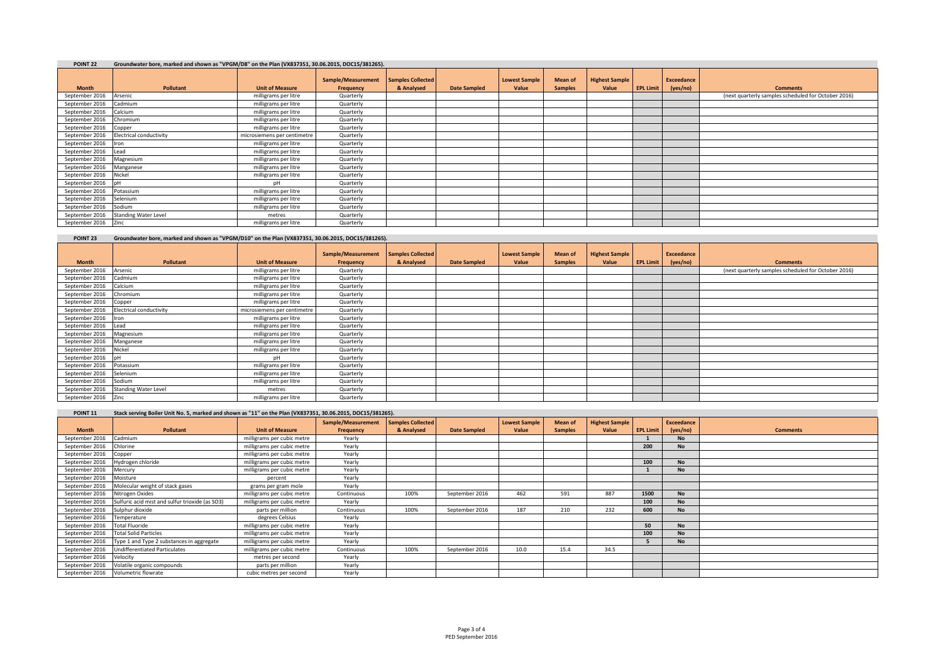| POINT <sub>22</sub> | Groundwater bore, marked and shown as "VPGM/D8" on the Plan (VX837351, 30.06.2015, DOC15/381265). |
|---------------------|---------------------------------------------------------------------------------------------------|

| .                     | along and the second component of the component of the component of the component of the component of the component of the component of the component of the component of the component of the component of the component of t |                             |                                 |                                        |                     |                               |                           |                                |                  |                               |                                                     |
|-----------------------|--------------------------------------------------------------------------------------------------------------------------------------------------------------------------------------------------------------------------------|-----------------------------|---------------------------------|----------------------------------------|---------------------|-------------------------------|---------------------------|--------------------------------|------------------|-------------------------------|-----------------------------------------------------|
| <b>Month</b>          | <b>Pollutant</b>                                                                                                                                                                                                               | <b>Unit of Measure</b>      | Sample/Measurement<br>Frequency | <b>Samples Collected</b><br>& Analysed | <b>Date Sampled</b> | <b>Lowest Sample</b><br>Value | Mean of<br><b>Samples</b> | <b>Highest Sample</b><br>Value | <b>EPL Limit</b> | <b>Exceedance</b><br>(yes/no) | <b>Comments</b>                                     |
| September 2016        | Arsenic                                                                                                                                                                                                                        | milligrams per litre        | Quarterly                       |                                        |                     |                               |                           |                                |                  |                               | (next quarterly samples scheduled for October 2016) |
|                       |                                                                                                                                                                                                                                |                             |                                 |                                        |                     |                               |                           |                                |                  |                               |                                                     |
| September 2016        | Cadmium                                                                                                                                                                                                                        | milligrams per litre        | Quarterly                       |                                        |                     |                               |                           |                                |                  |                               |                                                     |
| September 2016        | Calcium                                                                                                                                                                                                                        | milligrams per litre        | Quarterly                       |                                        |                     |                               |                           |                                |                  |                               |                                                     |
| September 2016        | Chromium                                                                                                                                                                                                                       | milligrams per litre        | Quarterly                       |                                        |                     |                               |                           |                                |                  |                               |                                                     |
| September 2016        | Copper                                                                                                                                                                                                                         | milligrams per litre        | Quarterly                       |                                        |                     |                               |                           |                                |                  |                               |                                                     |
| September 2016        | <b>Electrical conductivity</b>                                                                                                                                                                                                 | microsiemens per centimetre | Quarterly                       |                                        |                     |                               |                           |                                |                  |                               |                                                     |
| September 2016 Iron   |                                                                                                                                                                                                                                | milligrams per litre        | Quarterly                       |                                        |                     |                               |                           |                                |                  |                               |                                                     |
| September 2016 Lead   |                                                                                                                                                                                                                                | milligrams per litre        | Quarterly                       |                                        |                     |                               |                           |                                |                  |                               |                                                     |
| September 2016        | Magnesium                                                                                                                                                                                                                      | milligrams per litre        | Quarterly                       |                                        |                     |                               |                           |                                |                  |                               |                                                     |
| September 2016        | Manganese                                                                                                                                                                                                                      | milligrams per litre        | Quarterly                       |                                        |                     |                               |                           |                                |                  |                               |                                                     |
| September 2016 Nickel |                                                                                                                                                                                                                                | milligrams per litre        | Quarterly                       |                                        |                     |                               |                           |                                |                  |                               |                                                     |
| September 2016        | <b>InH</b>                                                                                                                                                                                                                     | pН                          | Quarterly                       |                                        |                     |                               |                           |                                |                  |                               |                                                     |
| September 2016        | Potassium                                                                                                                                                                                                                      | milligrams per litre        | Quarterly                       |                                        |                     |                               |                           |                                |                  |                               |                                                     |
| September 2016        | Selenium                                                                                                                                                                                                                       | milligrams per litre        | Quarterly                       |                                        |                     |                               |                           |                                |                  |                               |                                                     |
| September 2016        | Sodium                                                                                                                                                                                                                         | milligrams per litre        | Quarterly                       |                                        |                     |                               |                           |                                |                  |                               |                                                     |
| September 2016        | <b>Standing Water Level</b>                                                                                                                                                                                                    | metres                      | Quarterly                       |                                        |                     |                               |                           |                                |                  |                               |                                                     |
| September 2016 Zinc   |                                                                                                                                                                                                                                | milligrams per litre        | Quarterly                       |                                        |                     |                               |                           |                                |                  |                               |                                                     |

| POINT <sub>23</sub>   | Groundwater bore, marked and shown as "VPGM/D10" on the Plan (VX837351, 30.06.2015, DOC15/381265). |                             |                                 |                                        |                     |                               |                           |                                |                  |                               |                                                     |
|-----------------------|----------------------------------------------------------------------------------------------------|-----------------------------|---------------------------------|----------------------------------------|---------------------|-------------------------------|---------------------------|--------------------------------|------------------|-------------------------------|-----------------------------------------------------|
| <b>Month</b>          | <b>Pollutant</b>                                                                                   | <b>Unit of Measure</b>      | Sample/Measurement<br>Frequency | <b>Samples Collected</b><br>& Analysed | <b>Date Sampled</b> | <b>Lowest Sample</b><br>Value | Mean of<br><b>Samples</b> | <b>Highest Sample</b><br>Value | <b>EPL Limit</b> | <b>Exceedance</b><br>(yes/no) | <b>Comments</b>                                     |
| September 2016        | Arsenic                                                                                            | milligrams per litre        | Quarterly                       |                                        |                     |                               |                           |                                |                  |                               | (next quarterly samples scheduled for October 2016) |
| September 2016        | Cadmium                                                                                            | milligrams per litre        | Quarterly                       |                                        |                     |                               |                           |                                |                  |                               |                                                     |
| September 2016        | Calcium                                                                                            | milligrams per litre        | Quarterly                       |                                        |                     |                               |                           |                                |                  |                               |                                                     |
| September 2016        | Chromium                                                                                           | milligrams per litre        | Quarterly                       |                                        |                     |                               |                           |                                |                  |                               |                                                     |
| September 2016        | Copper                                                                                             | milligrams per litre        | Quarterly                       |                                        |                     |                               |                           |                                |                  |                               |                                                     |
| September 2016        | Electrical conductivity                                                                            | microsiemens per centimetre | Quarterly                       |                                        |                     |                               |                           |                                |                  |                               |                                                     |
| September 2016 Iron   |                                                                                                    | milligrams per litre        | Quarterly                       |                                        |                     |                               |                           |                                |                  |                               |                                                     |
| September 2016 Lead   |                                                                                                    | milligrams per litre        | Quarterly                       |                                        |                     |                               |                           |                                |                  |                               |                                                     |
| September 2016        | Magnesium                                                                                          | milligrams per litre        | Quarterly                       |                                        |                     |                               |                           |                                |                  |                               |                                                     |
| September 2016        | Manganese                                                                                          | milligrams per litre        | Quarterly                       |                                        |                     |                               |                           |                                |                  |                               |                                                     |
| September 2016 Nickel |                                                                                                    | milligrams per litre        | Quarterly                       |                                        |                     |                               |                           |                                |                  |                               |                                                     |
| September 2016 pH     |                                                                                                    | nH                          | Quarterly                       |                                        |                     |                               |                           |                                |                  |                               |                                                     |
| September 2016        | Potassium                                                                                          | milligrams per litre        | Quarterly                       |                                        |                     |                               |                           |                                |                  |                               |                                                     |
| September 2016        | Selenium                                                                                           | milligrams per litre        | Quarterly                       |                                        |                     |                               |                           |                                |                  |                               |                                                     |
| September 2016        | Sodium                                                                                             | milligrams per litre        | Quarterly                       |                                        |                     |                               |                           |                                |                  |                               |                                                     |
| September 2016        | <b>Standing Water Level</b>                                                                        | metres                      | Quarterly                       |                                        |                     |                               |                           |                                |                  |                               |                                                     |
| September 2016 Zinc   |                                                                                                    | milligrams per litre        | Quarterly                       |                                        |                     |                               |                           |                                |                  |                               |                                                     |

| POINT <sub>11</sub> | Stack serving Boiler Unit No. 5, marked and shown as "11" on the Plan (VX837351, 30.06.2015, DOC15/381265). |  |  |                               |  |  |   |  |  |
|---------------------|-------------------------------------------------------------------------------------------------------------|--|--|-------------------------------|--|--|---|--|--|
|                     |                                                                                                             |  |  | $\mathbf{r}$ and $\mathbf{r}$ |  |  | . |  |  |

|                |                                                 |                            | Sample/Measurement | <b>Samples Collected</b> |                     | <b>Lowest Sample</b> | <b>Mean of</b> | <b>Highest Sample</b> |                  | Exceedance |                 |
|----------------|-------------------------------------------------|----------------------------|--------------------|--------------------------|---------------------|----------------------|----------------|-----------------------|------------------|------------|-----------------|
| <b>Month</b>   | <b>Pollutant</b>                                | <b>Unit of Measure</b>     | Frequency          | & Analysed               | <b>Date Sampled</b> | Value                | <b>Samples</b> | Value                 | <b>EPL Limit</b> | (yes/no)   | <b>Comments</b> |
| September 2016 | Cadmium                                         | milligrams per cubic metre | Yearly             |                          |                     |                      |                |                       |                  | <b>No</b>  |                 |
| September 2016 | Chlorine                                        | milligrams per cubic metre | Yearly             |                          |                     |                      |                |                       | 200              | No         |                 |
| September 2016 | Copper                                          | milligrams per cubic metre | Yearly             |                          |                     |                      |                |                       |                  |            |                 |
| September 2016 | Hydrogen chloride                               | milligrams per cubic metre | Yearly             |                          |                     |                      |                |                       | 100              | <b>No</b>  |                 |
| September 2016 | Mercury                                         | milligrams per cubic metre | Yearly             |                          |                     |                      |                |                       |                  | <b>No</b>  |                 |
| September 2016 | Moisture                                        | percent                    | Yearly             |                          |                     |                      |                |                       |                  |            |                 |
| September 2016 | Molecular weight of stack gases                 | grams per gram mole        | Yearly             |                          |                     |                      |                |                       |                  |            |                 |
| September 2016 | Nitrogen Oxides                                 | milligrams per cubic metre | Continuous         | 100%                     | September 2016      | 462                  | 591            | 887                   | 1500             | <b>No</b>  |                 |
| September 2016 | Sulfuric acid mist and sulfur trioxide (as SO3) | milligrams per cubic metre | Yearly             |                          |                     |                      |                |                       | 100              | <b>No</b>  |                 |
| September 2016 | Sulphur dioxide                                 | parts per million          | Continuous         | 100%                     | September 2016      | 187                  | 210            | 232                   | 600              | <b>No</b>  |                 |
| September 2016 | Temperature                                     | degrees Celsius            | Yearly             |                          |                     |                      |                |                       |                  |            |                 |
| September 2016 | <b>Total Fluoride</b>                           | milligrams per cubic metre | Yearly             |                          |                     |                      |                |                       | 50               | <b>No</b>  |                 |
| September 2016 | <b>Total Solid Particles</b>                    | milligrams per cubic metre | Yearly             |                          |                     |                      |                |                       | 100              | <b>No</b>  |                 |
| September 2016 | Type 1 and Type 2 substances in aggregate       | milligrams per cubic metre | Yearly             |                          |                     |                      |                |                       |                  | <b>No</b>  |                 |
| September 2016 | <b>Undifferentiated Particulates</b>            | milligrams per cubic metre | Continuous         | 100%                     | September 2016      | 10.0                 | 15.4           | 34.5                  |                  |            |                 |
| September 2016 | Velocity                                        | metres per second          | Yearly             |                          |                     |                      |                |                       |                  |            |                 |
| September 2016 | Volatile organic compounds                      | parts per million          | Yearly             |                          |                     |                      |                |                       |                  |            |                 |
| September 2016 | Volumetric flowrate                             | cubic metres per second    | Yearly             |                          |                     |                      |                |                       |                  |            |                 |